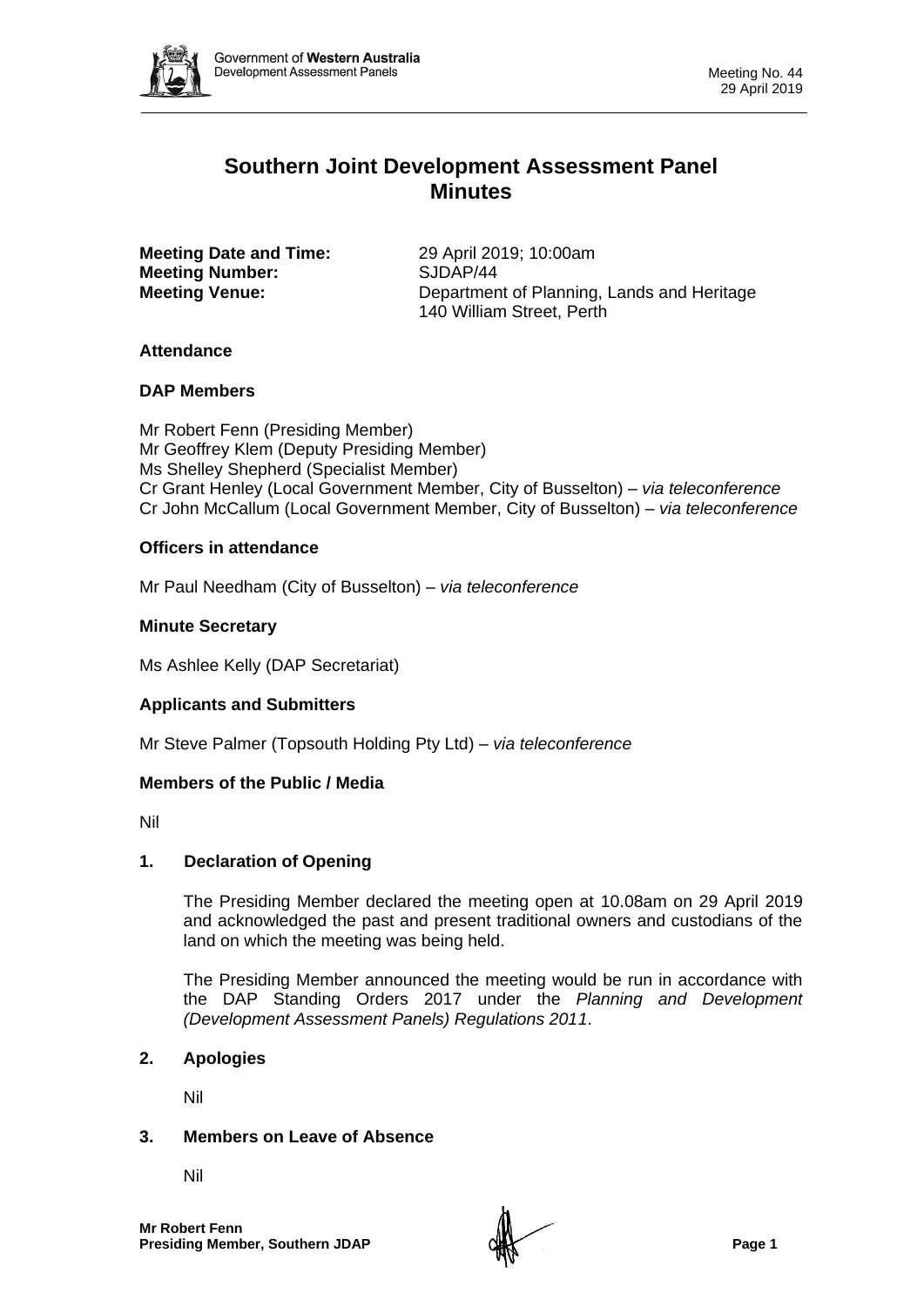

# **Southern Joint Development Assessment Panel Minutes**

**Meeting Date and Time:** 29 April 2019; 10:00am **Meeting Number:** SJDAP/44

**Meeting Venue:** Department of Planning, Lands and Heritage 140 William Street, Perth

## **Attendance**

## **DAP Members**

Mr Robert Fenn (Presiding Member) Mr Geoffrey Klem (Deputy Presiding Member) Ms Shelley Shepherd (Specialist Member) Cr Grant Henley (Local Government Member, City of Busselton) *– via teleconference* Cr John McCallum (Local Government Member, City of Busselton) *– via teleconference*

# **Officers in attendance**

Mr Paul Needham (City of Busselton) *– via teleconference*

## **Minute Secretary**

Ms Ashlee Kelly (DAP Secretariat)

## **Applicants and Submitters**

Mr Steve Palmer (Topsouth Holding Pty Ltd) *– via teleconference*

## **Members of the Public / Media**

Nil

## **1. Declaration of Opening**

The Presiding Member declared the meeting open at 10.08am on 29 April 2019 and acknowledged the past and present traditional owners and custodians of the land on which the meeting was being held.

The Presiding Member announced the meeting would be run in accordance with the DAP Standing Orders 2017 under the *Planning and Development (Development Assessment Panels) Regulations 2011*.

## **2. Apologies**

Nil

## **3. Members on Leave of Absence**

Nil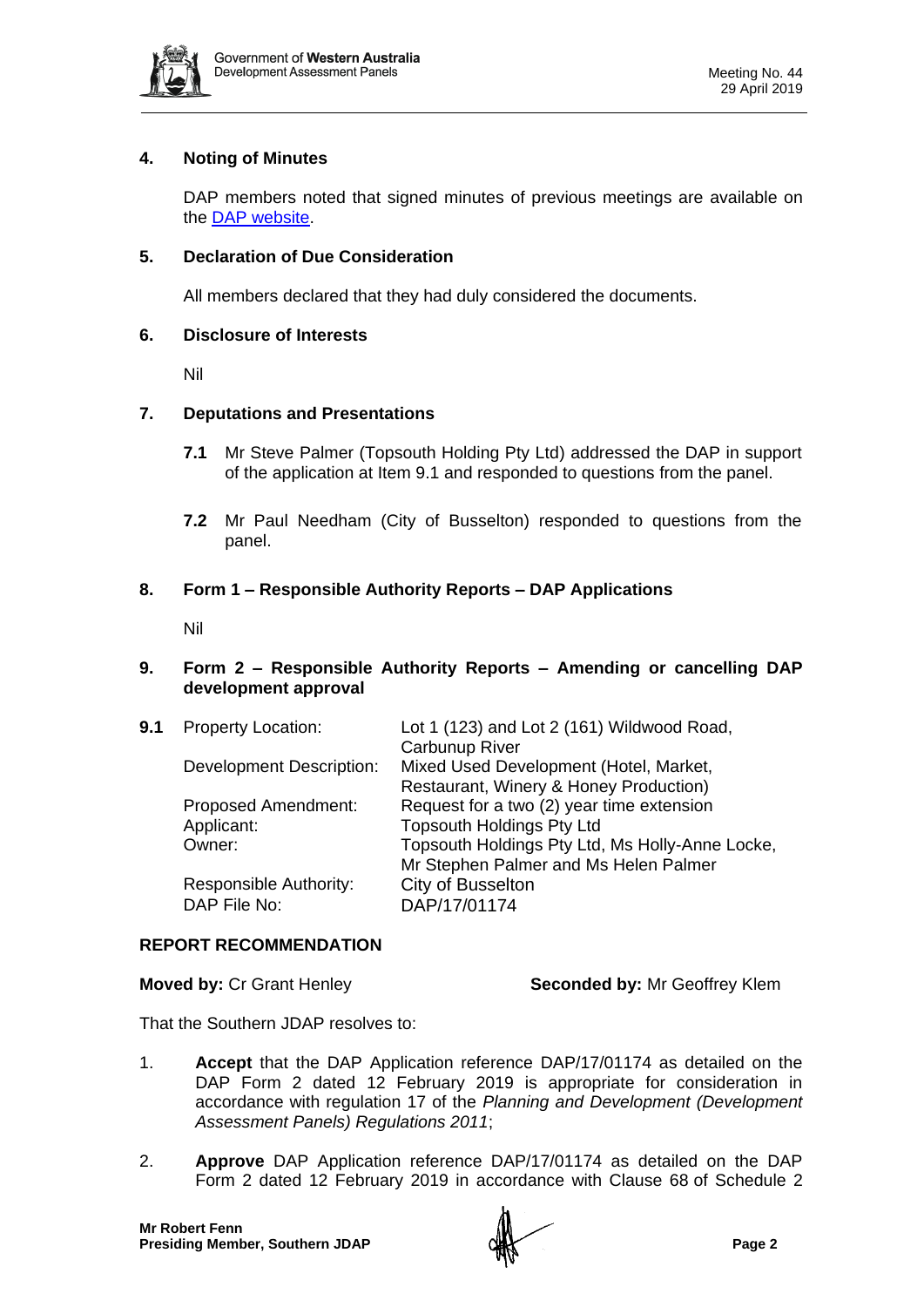

# **4. Noting of Minutes**

DAP members noted that signed minutes of previous meetings are available on the [DAP website.](https://www.dplh.wa.gov.au/about/development-assessment-panels/daps-agendas-and-minutes)

# **5. Declaration of Due Consideration**

All members declared that they had duly considered the documents.

#### **6. Disclosure of Interests**

Nil

## **7. Deputations and Presentations**

- **7.1** Mr Steve Palmer (Topsouth Holding Pty Ltd) addressed the DAP in support of the application at Item 9.1 and responded to questions from the panel.
- **7.2** Mr Paul Needham (City of Busselton) responded to questions from the panel.

## **8. Form 1 – Responsible Authority Reports – DAP Applications**

Nil

## **9. Form 2 – Responsible Authority Reports – Amending or cancelling DAP development approval**

| 9.1 | <b>Property Location:</b>       | Lot 1 (123) and Lot 2 (161) Wildwood Road,<br><b>Carbunup River</b>              |
|-----|---------------------------------|----------------------------------------------------------------------------------|
|     | <b>Development Description:</b> | Mixed Used Development (Hotel, Market,<br>Restaurant, Winery & Honey Production) |
|     | <b>Proposed Amendment:</b>      | Request for a two (2) year time extension                                        |
|     | Applicant:                      | <b>Topsouth Holdings Pty Ltd</b>                                                 |
|     | Owner:                          | Topsouth Holdings Pty Ltd, Ms Holly-Anne Locke,                                  |
|     |                                 | Mr Stephen Palmer and Ms Helen Palmer                                            |
|     | <b>Responsible Authority:</b>   | City of Busselton                                                                |
|     | DAP File No:                    | DAP/17/01174                                                                     |
|     |                                 |                                                                                  |

## **REPORT RECOMMENDATION**

**Moved by:** Cr Grant Henley **Seconded by:** Mr Geoffrey Klem

That the Southern JDAP resolves to:

- 1. **Accept** that the DAP Application reference DAP/17/01174 as detailed on the DAP Form 2 dated 12 February 2019 is appropriate for consideration in accordance with regulation 17 of the *Planning and Development (Development Assessment Panels) Regulations 2011*;
- 2. **Approve** DAP Application reference DAP/17/01174 as detailed on the DAP Form 2 dated 12 February 2019 in accordance with Clause 68 of Schedule 2